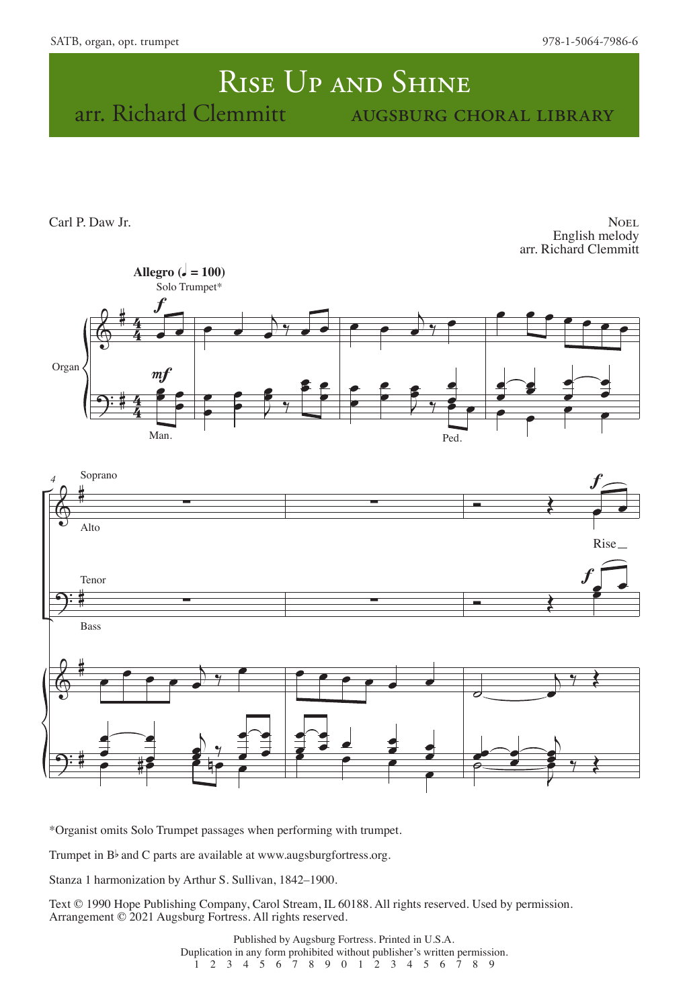## RISE UP AND SHINE arr. Richard Clemmitt augsburg choral library

Carl P. Daw Jr.

NOEL English melody arr. Richard Clemmitt



\*Organist omits Solo Trumpet passages when performing with trumpet.

Trumpet in  $B^{\flat}$  and C parts are available at www.augsburgfortress.org.

Stanza 1 harmonization by Arthur S. Sullivan, 1842–1900.

Text © 1990 Hope Publishing Company, Carol Stream, IL 60188. All rights reserved. Used by permission. Arrangement © 2021 Augsburg Fortress. All rights reserved.

> Published by Augsburg Fortress. Printed in U.S.A. Duplication in any form prohibited without publisher's written permission. 1 2 3 4 5 6 7 8 9 0 1 2 3 4 5 6 7 8 9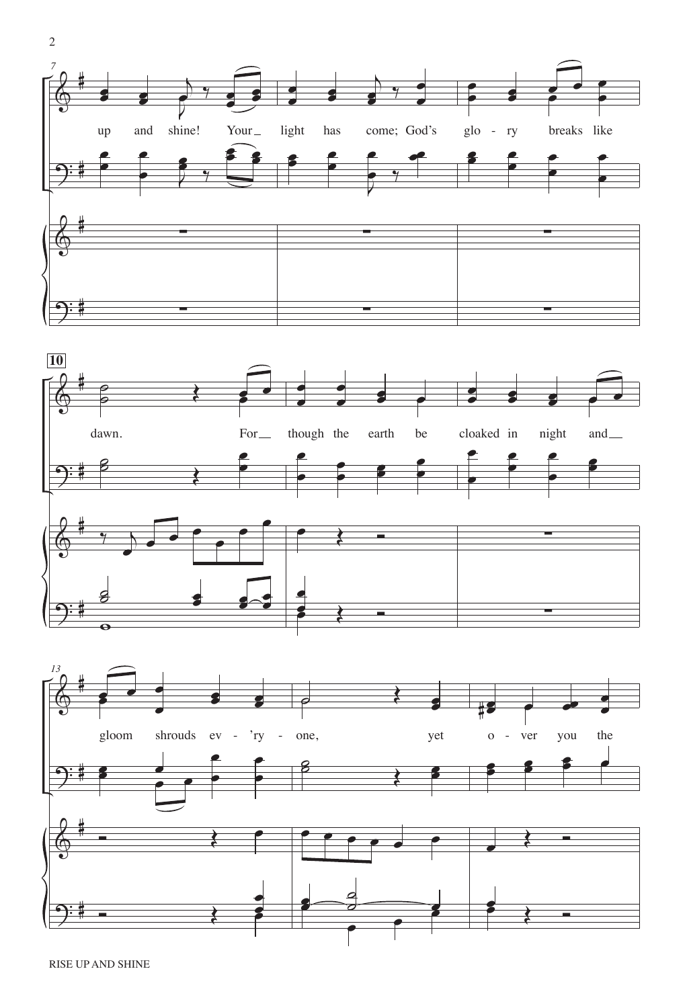